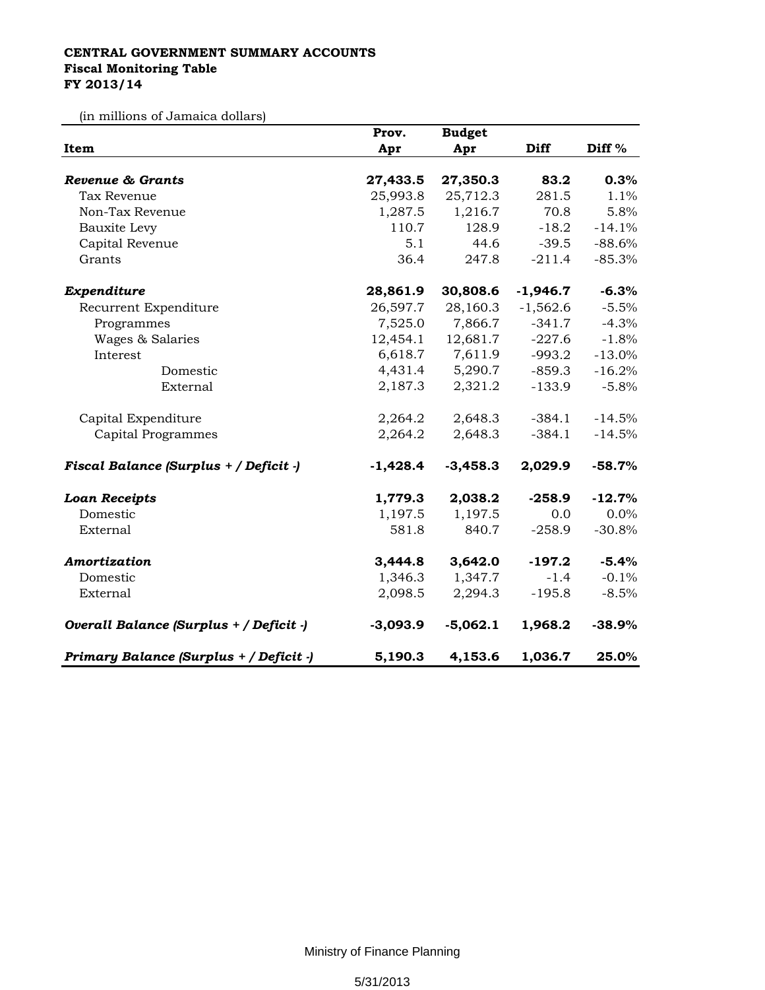## **CENTRAL GOVERNMENT SUMMARY ACCOUNTS Fiscal Monitoring Table FY 2013/14**

(in millions of Jamaica dollars)

| Item                                    | Prov.<br>Apr | <b>Budget</b><br>Apr | <b>Diff</b> | Diff <sup>%</sup> |
|-----------------------------------------|--------------|----------------------|-------------|-------------------|
|                                         |              |                      |             |                   |
| <b>Revenue &amp; Grants</b>             | 27,433.5     | 27,350.3             | 83.2        | 0.3%              |
| Tax Revenue                             | 25,993.8     | 25,712.3             | 281.5       | 1.1%              |
| Non-Tax Revenue                         | 1,287.5      | 1,216.7              | 70.8        | 5.8%              |
| <b>Bauxite Levy</b>                     | 110.7        | 128.9                | $-18.2$     | $-14.1%$          |
| Capital Revenue                         | 5.1          | 44.6                 | $-39.5$     | $-88.6%$          |
| Grants                                  | 36.4         | 247.8                | $-211.4$    | $-85.3%$          |
| Expenditure                             | 28,861.9     | 30,808.6             | $-1,946.7$  | $-6.3%$           |
| Recurrent Expenditure                   | 26,597.7     | 28,160.3             | $-1,562.6$  | $-5.5%$           |
| Programmes                              | 7,525.0      | 7,866.7              | $-341.7$    | $-4.3%$           |
| Wages & Salaries                        | 12,454.1     | 12,681.7             | $-227.6$    | $-1.8%$           |
| Interest                                | 6,618.7      | 7,611.9              | $-993.2$    | $-13.0%$          |
| Domestic                                | 4,431.4      | 5,290.7              | $-859.3$    | $-16.2%$          |
| External                                | 2,187.3      | 2,321.2              | $-133.9$    | $-5.8%$           |
| Capital Expenditure                     | 2,264.2      | 2,648.3              | $-384.1$    | $-14.5%$          |
| Capital Programmes                      | 2,264.2      | 2,648.3              | $-384.1$    | $-14.5%$          |
| Fiscal Balance (Surplus + / Deficit -)  | $-1,428.4$   | $-3,458.3$           | 2,029.9     | $-58.7%$          |
| <b>Loan Receipts</b>                    | 1,779.3      | 2,038.2              | $-258.9$    | $-12.7%$          |
| Domestic                                | 1,197.5      | 1,197.5              | 0.0         | 0.0%              |
| External                                | 581.8        | 840.7                | $-258.9$    | $-30.8%$          |
| Amortization                            | 3,444.8      | 3,642.0              | $-197.2$    | $-5.4%$           |
| Domestic                                | 1,346.3      | 1,347.7              | $-1.4$      | $-0.1%$           |
| External                                | 2,098.5      | 2,294.3              | $-195.8$    | $-8.5%$           |
| Overall Balance (Surplus + / Deficit -) | $-3,093.9$   | $-5,062.1$           | 1,968.2     | $-38.9%$          |
| Primary Balance (Surplus + / Deficit -) | 5,190.3      | 4,153.6              | 1,036.7     | 25.0%             |

Ministry of Finance Planning